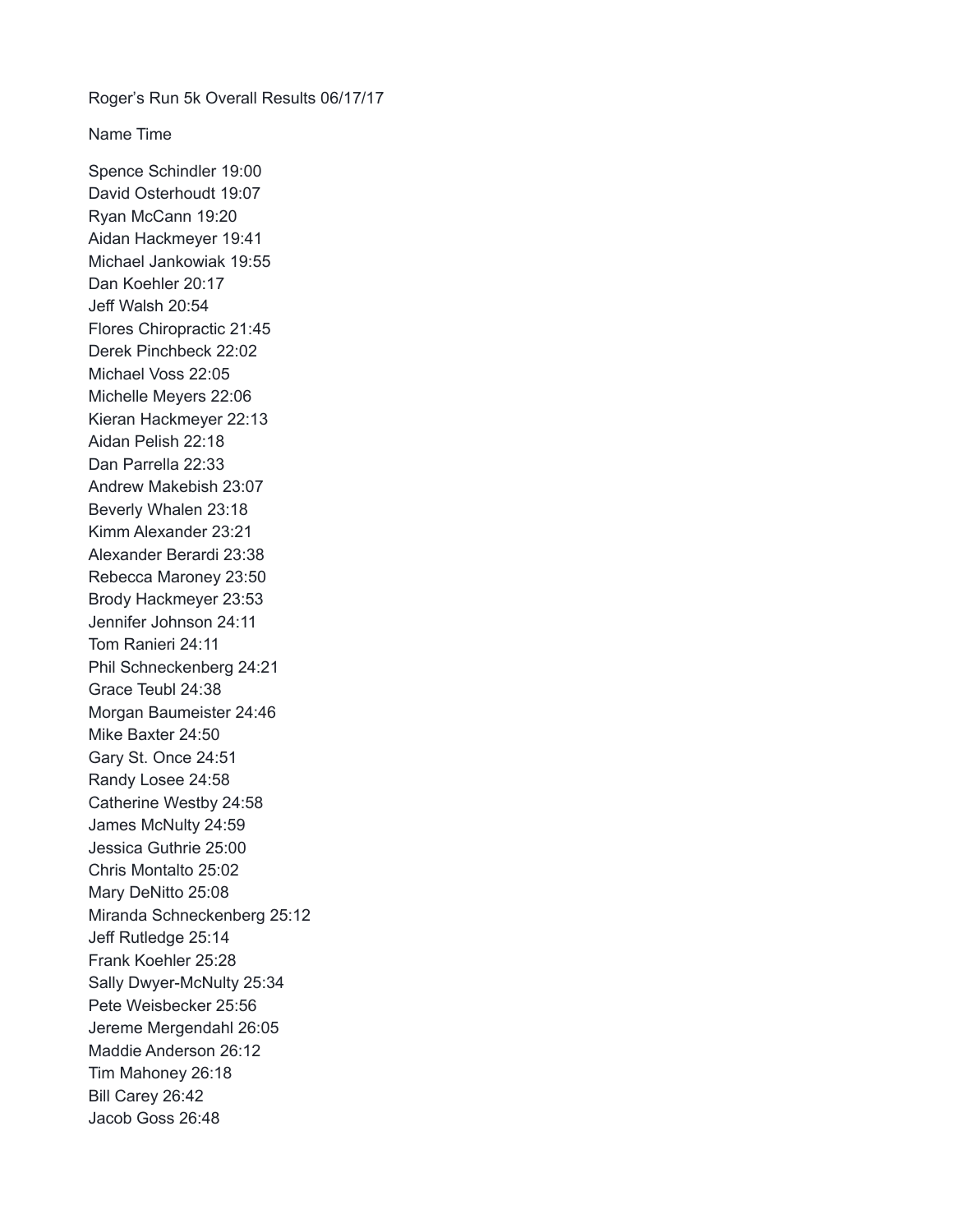Roger's Run 5k Overall Results 06/17/17

Name Time

Spence Schindler 19:00 David Osterhoudt 19:07 Ryan McCann 19:20 Aidan Hackmeyer 19:41 Michael Jankowiak 19:55 Dan Koehler 20:17 Jeff Walsh 20:54 Flores Chiropractic 21:45 Derek Pinchbeck 22:02 Michael Voss 22:05 Michelle Meyers 22:06 Kieran Hackmeyer 22:13 Aidan Pelish 22:18 Dan Parrella 22:33 Andrew Makebish 23:07 Beverly Whalen 23:18 Kimm Alexander 23:21 Alexander Berardi 23:38 Rebecca Maroney 23:50 Brody Hackmeyer 23:53 Jennifer Johnson 24:11 Tom Ranieri 24:11 Phil Schneckenberg 24:21 Grace Teubl 24:38 Morgan Baumeister 24:46 Mike Baxter 24:50 Gary St. Once 24:51 Randy Losee 24:58 Catherine Westby 24:58 James McNulty 24:59 Jessica Guthrie 25:00 Chris Montalto 25:02 Mary DeNitto 25:08 Miranda Schneckenberg 25:12 Jeff Rutledge 25:14 Frank Koehler 25:28 Sally Dwyer-McNulty 25:34 Pete Weisbecker 25:56 Jereme Mergendahl 26:05 Maddie Anderson 26:12 Tim Mahoney 26:18 Bill Carey 26:42 Jacob Goss 26:48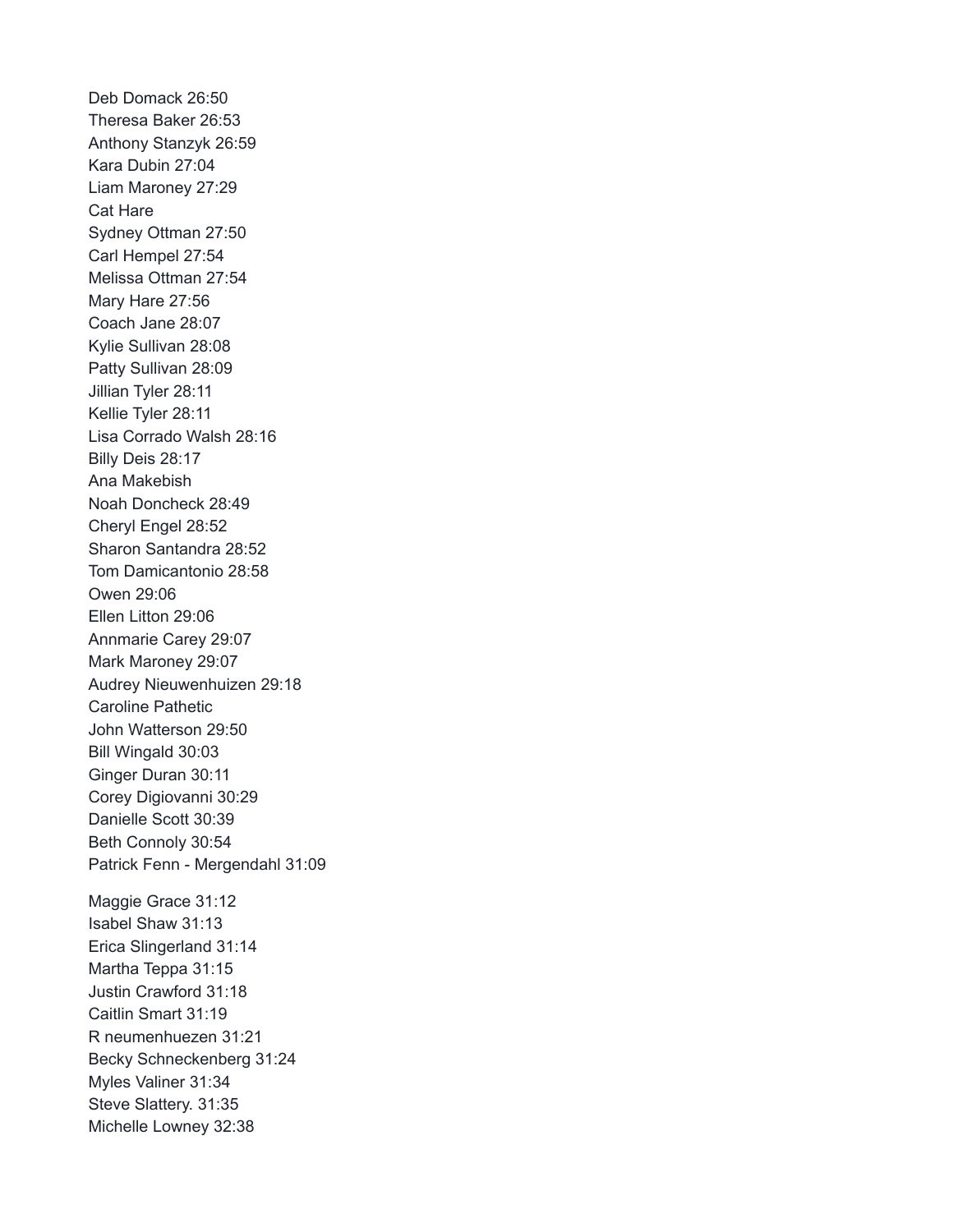Deb Domack 26:50 Theresa Baker 26:53 Anthony Stanzyk 26:59 Kara Dubin 27:04 Liam Maroney 27:29 Cat Hare Sydney Ottman 27:50 Carl Hempel 27:54 Melissa Ottman 27:54 Mary Hare 27:56 Coach Jane 28:07 Kylie Sullivan 28:08 Patty Sullivan 28:09 Jillian Tyler 28:11 Kellie Tyler 28:11 Lisa Corrado Walsh 28:16 Billy Deis 28:17 Ana Makebish Noah Doncheck 28:49 Cheryl Engel 28:52 Sharon Santandra 28:52 Tom Damicantonio 28:58 Owen 29:06 Ellen Litton 29:06 Annmarie Carey 29:07 Mark Maroney 29:07 Audrey Nieuwenhuizen 29:18 Caroline Pathetic John Watterson 29:50 Bill Wingald 30:03 Ginger Duran 30:11 Corey Digiovanni 30:29 Danielle Scott 30:39 Beth Connoly 30:54 Patrick Fenn - Mergendahl 31:09 Maggie Grace 31:12 Isabel Shaw 31:13 Erica Slingerland 31:14 Martha Teppa 31:15 Justin Crawford 31:18 Caitlin Smart 31:19 R neumenhuezen 31:21 Becky Schneckenberg 31:24 Myles Valiner 31:34 Steve Slattery. 31:35 Michelle Lowney 32:38